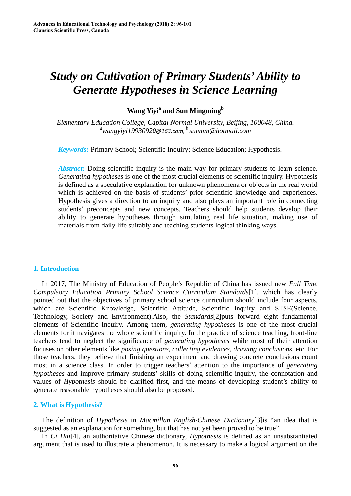# *Study on Cultivation of Primary Students' Ability to Generate Hypotheses in Science Learning*

# **Wang Yivi<sup>a</sup> and Sun Mingming**<sup>b</sup>

*Elementary E[ducation College, Capital Norm](mailto:a15116995612@163.com,)al University, Beijing, 100048, China. [a](mailto:a15116995612@163.com,) wangyiyi19930920@163.com, b sunmm@hotmail.com* 

*Keywords:* Primary School; Scientific Inquiry; Science Education; Hypothesis.

*Abstract:* Doing scientific inquiry is the main way for primary students to learn science. *Generating hypotheses* is one of the most crucial elements of scientific inquiry. Hypothesis is defined as a speculative explanation for unknown phenomena or objects in the real world which is achieved on the basis of students' prior scientific knowledge and experiences. Hypothesis gives a direction to an inquiry and also plays an important role in connecting students' preconcepts and new concepts. Teachers should help students develop their ability to generate hypotheses through simulating real life situation, making use of materials from daily life suitably and teaching students logical thinking ways.

### **1. Introduction**

In 2017, The Ministry of Education of People's Republic of China has issued new *Full Time Compulsory Education Primary School Science Curriculum Standards*[1]*,* which has clearly pointed out that the objectives of primary school science curriculum should include four aspects, which are Scientific Knowledge, Scientific Attitude, Scientific Inquiry and STSE(Science, Technology, Society and Environment).Also, the *Standards*[2]puts forward eight fundamental elements of Scientific Inquiry. Among them, *generating hypotheses* is one of the most crucial elements for it navigates the whole scientific inquiry. In the practice of science teaching, front-line teachers tend to neglect the significance of *generating hypotheses* while most of their attention focuses on other elements like *posing questions*, *collecting evidences, drawing conclusions*, etc. For those teachers, they believe that finishing an experiment and drawing concrete conclusions count most in a science class. In order to trigger teachers' attention to the importance of *generating hypotheses* and improve primary students' skills of doing scientific inquiry, the connotation and values of *Hypothesis* should be clarified first, and the means of developing student's ability to generate reasonable hypotheses should also be proposed. **Advances in Education (Technology and Psychology (2018) 2: 96-101**<br> **Study on Cultivation of Prima**<br> **Study on Cultivation of Prima**<br> **Study on Cultivation Colege Signal Sum Sum Assumed the system of the system of the sys** 

# **2. What is Hypothesis?**

The definition of *Hypothesis* in *Macmillan English-Chinese Dictionary*[3]is "an idea that is suggested as an explanation for something, but that has not yet been proved to be true".

In *Ci Hai*[4], an authoritative Chinese dictionary, *Hypothesis* is defined as an unsubstantiated argument that is used to illustrate a phenomenon. It is necessary to make a logical argument on the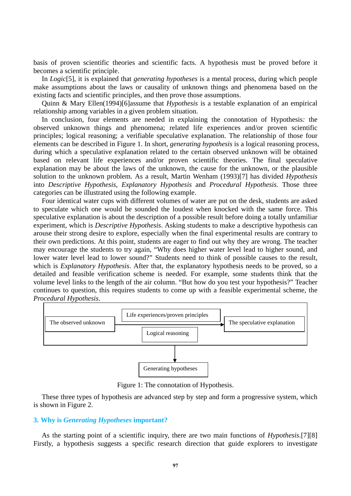basis of proven scientific theories and scientific facts. A hypothesis must be proved before it becomes a scientific principle.

In *Logic*[5], it is explained that *generating hypotheses* is a mental process, during which people make assumptions about the laws or causality of unknown things and phenomena based on the existing facts and scientific principles, and then prove those assumptions.

Quinn & Mary Ellen(1994)[6]assume that *Hypothesis* is a testable explanation of an empirical relationship among variables in a given problem situation.

In conclusion, four elements are needed in explaining the connotation of Hypothesis*:* the observed unknown things and phenomena; related life experiences and/or proven scientific principles; logical reasoning; a verifiable speculative explanation. The relationship of those four elements can be described in Figure 1. In short, *generating hypothesis* is a logical reasoning process, during which a speculative explanation related to the certain observed unknown will be obtained based on relevant life experiences and/or proven scientific theories. The final speculative explanation may be about the laws of the unknown, the cause for the unknown, or the plausible solution to the unknown problem. As a result, Martin Wenham (1993)[7] has divided *Hypothesis* into *Descriptive Hypothesis*, *Explanatory Hypothesis* and *Procedural Hypothesis*. Those three categories can be illustrated using the following example.

Four identical water cups with different volumes of water are put on the desk, students are asked to speculate which one would be sounded the loudest when knocked with the same force. This speculative explanation is about the description of a possible result before doing a totally unfamiliar experiment, which is *Descriptive Hypothesis*. Asking students to make a descriptive hypothesis can arouse their strong desire to explore, especially when the final experimental results are contrary to their own predictions. At this point, students are eager to find out why they are wrong. The teacher may encourage the students to try again, "Why does higher water level lead to higher sound, and lower water level lead to lower sound?" Students need to think of possible causes to the result, which is *Explanatory Hypothesis*. After that, the explanatory hypothesis needs to be proved, so a detailed and feasible verification scheme is needed. For example, some students think that the volume level links to the length of the air column. "But how do you test your hypothesis?" Teacher continues to question, this requires students to come up with a feasible experimental scheme, the *Procedural Hypothesis*.



Figure 1: The connotation of Hypothesis.

These three types of hypothesis are advanced step by step and form a progressive system, which is shown in Figure 2.

## **3. Why is** *Generating Hypotheses* **important?**

As the starting point of a scientific inquiry, there are two main functions of *Hypothesis*.[7][8] Firstly, a hypothesis suggests a specific research direction that guide explorers to investigate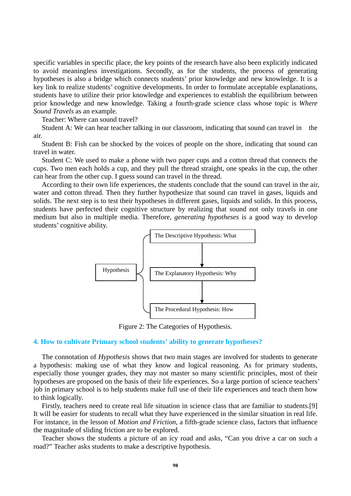specific variables in specific place, the key points of the research have also been explicitly indicated to avoid meaningless investigations. Secondly, as for the students, the process of generating hypotheses is also a bridge which connects students' prior knowledge and new knowledge. It is a key link to realize students' cognitive developments. In order to formulate acceptable explanations, students have to utilize their prior knowledge and experiences to establish the equilibrium between prior knowledge and new knowledge. Taking a fourth-grade science class whose topic is *Where Sound Travels* as an example*.* 

Teacher: Where can sound travel?

Student A: We can hear teacher talking in our classroom, indicating that sound can travel in the air.

Student B: Fish can be shocked by the voices of people on the shore, indicating that sound can travel in water.

Student C: We used to make a phone with two paper cups and a cotton thread that connects the cups. Two men each holds a cup, and they pull the thread straight, one speaks in the cup, the other can hear from the other cup. I guess sound can travel in the thread.

According to their own life experiences, the students conclude that the sound can travel in the air, water and cotton thread. Then they further hypothesize that sound can travel in gases, liquids and solids. The next step is to test their hypotheses in different gases, liquids and solids. In this process, students have perfected their cognitive structure by realizing that sound not only travels in one medium but also in multiple media. Therefore, *generating hypotheses* is a good way to develop students' cognitive ability.



Figure 2: The Categories of Hypothesis.

#### **4. How to cultivate Primary school students' ability to generate hypotheses?**

The connotation of *Hypothesis* shows that two main stages are involved for students to generate a hypothesis: making use of what they know and logical reasoning. As for primary students, especially those younger grades, they may not master so many scientific principles, most of their hypotheses are proposed on the basis of their life experiences. So a large portion of science teachers' job in primary school is to help students make full use of their life experiences and teach them how to think logically.

Firstly, teachers need to create real life situation in science class that are familiar to students.[9] It will be easier for students to recall what they have experienced in the similar situation in real life. For instance, in the lesson of *Motion and Friction*, a fifth-grade science class, factors that influence the magnitude of sliding friction are to be explored.

Teacher shows the students a picture of an icy road and asks, "Can you drive a car on such a road?" Teacher asks students to make a descriptive hypothesis.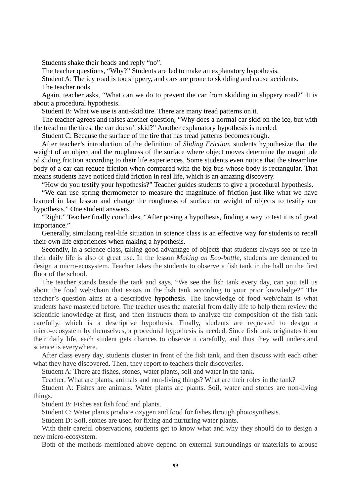Students shake their heads and reply "no".

The teacher questions, "Why?" Students are led to make an explanatory hypothesis.

Student A: The icy road is too slippery, and cars are prone to skidding and cause accidents.

The teacher nods.

Again, teacher asks, "What can we do to prevent the car from skidding in slippery road?" It is about a procedural hypothesis.

Student B: What we use is anti-skid tire. There are many tread patterns on it.

The teacher agrees and raises another question, "Why does a normal car skid on the ice, but with the tread on the tires, the car doesn't skid?" Another explanatory hypothesis is needed.

Student C: Because the surface of the tire that has tread patterns becomes rough.

After teacher's introduction of the definition of *Sliding Friction*, students hypothesize that the weight of an object and the roughness of the surface where object moves determine the magnitude of sliding friction according to their life experiences. Some students even notice that the streamline body of a car can reduce friction when compared with the big bus whose body is rectangular. That means students have noticed fluid friction in real life, which is an amazing discovery.

"How do you testify your hypothesis?" Teacher guides students to give a procedural hypothesis.

"We can use spring thermometer to measure the magnitude of friction just like what we have learned in last lesson and change the roughness of surface or weight of objects to testify our hypothesis." One student answers.

"Right." Teacher finally concludes, "After posing a hypothesis, finding a way to test it is of great importance."

Generally, simulating real-life situation in science class is an effective way for students to recall their own life experiences when making a hypothesis.

Secondly, in a science class, taking good advantage of objects that students always see or use in their daily life is also of great use. In the lesson *Making an Eco-bottle*, students are demanded to design a micro-ecosystem. Teacher takes the students to observe a fish tank in the hall on the first floor of the school.

The teacher stands beside the tank and says, "We see the fish tank every day, can you tell us about the food web/chain that exists in the fish tank according to your prior knowledge?" The teacher's question aims at a descriptive hypothesis. The knowledge of food web/chain is what students have mastered before. The teacher uses the material from daily life to help them review the scientific knowledge at first, and then instructs them to analyze the composition of the fish tank carefully, which is a descriptive hypothesis. Finally, students are requested to design a micro-ecosystem by themselves, a procedural hypothesis is needed. Since fish tank originates from their daily life, each student gets chances to observe it carefully, and thus they will understand science is everywhere.

After class every day, students cluster in front of the fish tank, and then discuss with each other what they have discovered. Then, they report to teachers their discoveries.

Student A: There are fishes, stones, water plants, soil and water in the tank.

Teacher: What are plants, animals and non-living things? What are their roles in the tank?

Student A: Fishes are animals. Water plants are plants. Soil, water and stones are non-living things.

Student B: Fishes eat fish food and plants.

Student C: Water plants produce oxygen and food for fishes through photosynthesis.

Student D: Soil, stones are used for fixing and nurturing water plants.

With their careful observations, students get to know what and why they should do to design a new micro-ecosystem.

Both of the methods mentioned above depend on external surroundings or materials to arouse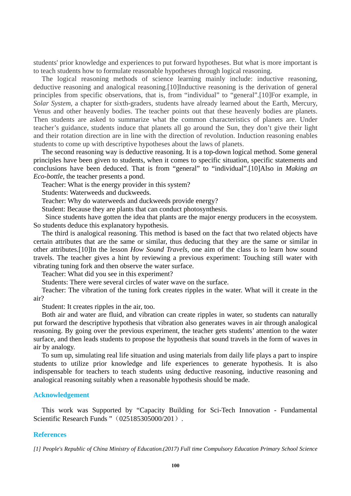students' prior knowledge and experiences to put forward hypotheses. But what is more important is to teach students how to formulate reasonable hypotheses through logical reasoning.

The logical reasoning methods of science learning mainly include: inductive reasoning, deductive reasoning and analogical reasoning.[10]Inductive reasoning is the derivation of general principles from specific observations, that is, from "individual" to "general".[10]For example, in *Solar System,* a chapter for sixth-graders, students have already learned about the Earth, Mercury, Venus and other heavenly bodies. The teacher points out that these heavenly bodies are planets. Then students are asked to summarize what the common characteristics of planets are. Under teacher's guidance, students induce that planets all go around the Sun, they don't give their light and their rotation direction are in line with the direction of revolution. Induction reasoning enables students to come up with descriptive hypotheses about the laws of planets.

The second reasoning way is deductive reasoning. It is a top-down logical method. Some general principles have been given to students, when it comes to specific situation, specific statements and conclusions have been deduced. That is from "general" to "individual".[10]Also in *Making an Eco-bottle*, the teacher presents a pond.

Teacher: What is the energy provider in this system?

Students: Waterweeds and duckweeds.

Teacher: Why do waterweeds and duckweeds provide energy?

Student: Because they are plants that can conduct photosynthesis.

Since students have gotten the idea that plants are the major energy producers in the ecosystem. So students deduce this explanatory hypothesis.

The third is analogical reasoning. This method is based on the fact that two related objects have certain attributes that are the same or similar, thus deducing that they are the same or similar in other attributes.[10]In the lesson *How Sound Travels,* one aim of the class is to learn how sound travels. The teacher gives a hint by reviewing a previous experiment: Touching still water with vibrating tuning fork and then observe the water surface.

Teacher: What did you see in this experiment?

Students: There were several circles of water wave on the surface.

Teacher: The vibration of the tuning fork creates ripples in the water. What will it create in the air?

Student: It creates ripples in the air, too.

Both air and water are fluid, and vibration can create ripples in water, so students can naturally put forward the descriptive hypothesis that vibration also generates waves in air through analogical reasoning. By going over the previous experiment, the teacher gets students' attention to the water surface, and then leads students to propose the hypothesis that sound travels in the form of waves in air by analogy.

To sum up, simulating real life situation and using materials from daily life plays a part to inspire students to utilize prior knowledge and life experiences to generate hypothesis. It is also indispensable for teachers to teach students using deductive reasoning, inductive reasoning and analogical reasoning suitably when a reasonable hypothesis should be made.

#### **Acknowledgement**

This work was Supported by "Capacity Building for Sci-Tech Innovation - Fundamental Scientific Research Funds " (025185305000/201).

#### **References**

*[1] People's Republic of China Ministry of Education.(2017) Full time Compulsory Education Primary School Science*